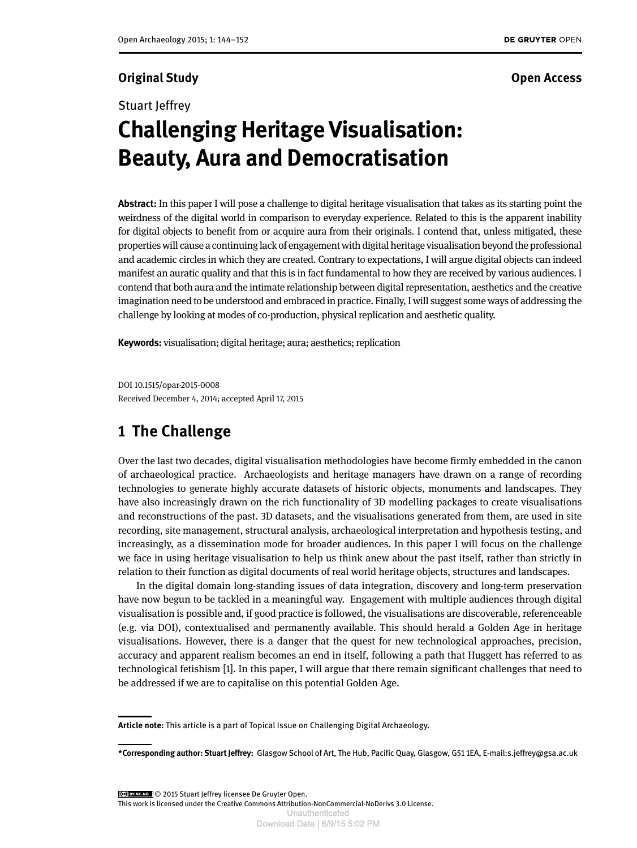#### **Original Study Open Access**

#### Stuart Jeffrey

# **Challenging Heritage Visualisation: Beauty, Aura and Democratisation**

**Abstract:** In this paper I will pose a challenge to digital heritage visualisation that takes as its starting point the weirdness of the digital world in comparison to everyday experience. Related to this is the apparent inability for digital objects to benefit from or acquire aura from their originals. I contend that, unless mitigated, these properties will cause a continuing lack of engagement with digital heritage visualisation beyond the professional and academic circles in which they are created. Contrary to expectations, I will argue digital objects can indeed manifest an auratic quality and that this is in fact fundamental to how they are received by various audiences. I contend that both aura and the intimate relationship between digital representation, aesthetics and the creative imagination need to be understood and embraced in practice. Finally, I will suggest some ways of addressing the challenge by looking at modes of co-production, physical replication and aesthetic quality.

**Keywords:** visualisation; digital heritage; aura; aesthetics; replication

DOI 10.1515/opar-2015-0008 Received December 4, 2014; accepted April 17, 2015

#### **1 The Challenge**

Over the last two decades, digital visualisation methodologies have become firmly embedded in the canon of archaeological practice. Archaeologists and heritage managers have drawn on a range of recording technologies to generate highly accurate datasets of historic objects, monuments and landscapes. They have also increasingly drawn on the rich functionality of 3D modelling packages to create visualisations and reconstructions of the past. 3D datasets, and the visualisations generated from them, are used in site recording, site management, structural analysis, archaeological interpretation and hypothesis testing, and increasingly, as a dissemination mode for broader audiences. In this paper I will focus on the challenge we face in using heritage visualisation to help us think anew about the past itself, rather than strictly in relation to their function as digital documents of real world heritage objects, structures and landscapes.

In the digital domain long-standing issues of data integration, discovery and long-term preservation have now begun to be tackled in a meaningful way. Engagement with multiple audiences through digital visualisation is possible and, if good practice is followed, the visualisations are discoverable, referenceable (e.g. via DOI), contextualised and permanently available. This should herald a Golden Age in heritage visualisations. However, there is a danger that the quest for new technological approaches, precision, accuracy and apparent realism becomes an end in itself, following a path that Huggett has referred to as technological fetishism [1]. In this paper, I will argue that there remain significant challenges that need to be addressed if we are to capitalise on this potential Golden Age.

**© ВҮ-МС-МВ** © 2015 Stuart Jeffrey licensee De Gruyter Open. This work is licensed under the Creative Commons Attribution-NonCommercial-NoDerivs 3.0 License.

**Article note:** This article is a part of Topical Issue on Challenging Digital Archaeology.

**<sup>\*</sup>Corresponding author: Stuart Jeffrey:** Glasgow School of Art, The Hub, Pacific Quay, Glasgow, G51 1EA, E-mail:s.jeffrey@gsa.ac.uk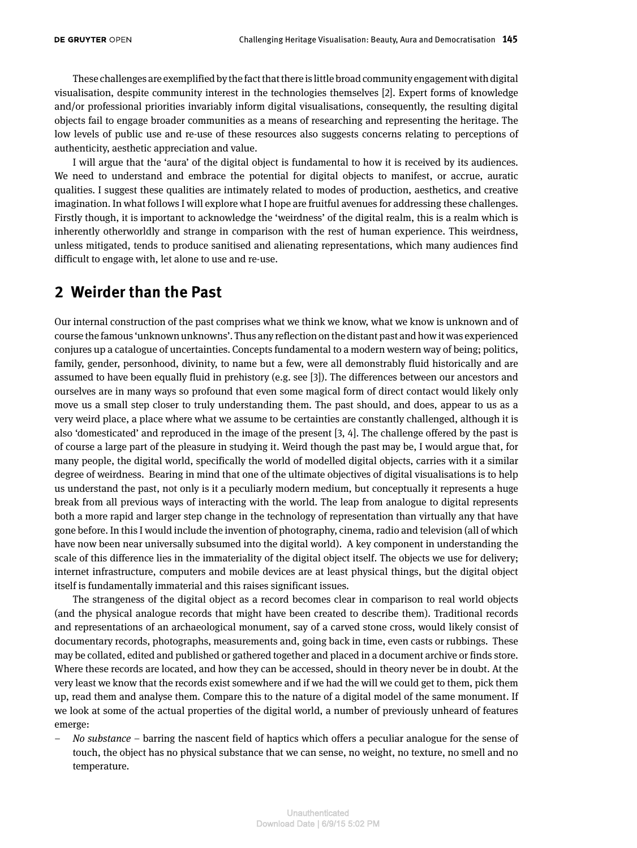These challenges are exemplified by the fact that there is little broad community engagement with digital visualisation, despite community interest in the technologies themselves [2]. Expert forms of knowledge and/or professional priorities invariably inform digital visualisations, consequently, the resulting digital objects fail to engage broader communities as a means of researching and representing the heritage. The low levels of public use and re-use of these resources also suggests concerns relating to perceptions of authenticity, aesthetic appreciation and value.

I will argue that the 'aura' of the digital object is fundamental to how it is received by its audiences. We need to understand and embrace the potential for digital objects to manifest, or accrue, auratic qualities. I suggest these qualities are intimately related to modes of production, aesthetics, and creative imagination. In what follows I will explore what I hope are fruitful avenues for addressing these challenges. Firstly though, it is important to acknowledge the 'weirdness' of the digital realm, this is a realm which is inherently otherworldly and strange in comparison with the rest of human experience. This weirdness, unless mitigated, tends to produce sanitised and alienating representations, which many audiences find difficult to engage with, let alone to use and re-use.

#### **2 Weirder than the Past**

Our internal construction of the past comprises what we think we know, what we know is unknown and of course the famous 'unknown unknowns'. Thus any reflection on the distant past and how it was experienced conjures up a catalogue of uncertainties. Concepts fundamental to a modern western way of being; politics, family, gender, personhood, divinity, to name but a few, were all demonstrably fluid historically and are assumed to have been equally fluid in prehistory (e.g. see [3]). The differences between our ancestors and ourselves are in many ways so profound that even some magical form of direct contact would likely only move us a small step closer to truly understanding them. The past should, and does, appear to us as a very weird place, a place where what we assume to be certainties are constantly challenged, although it is also 'domesticated' and reproduced in the image of the present [3, 4]. The challenge offered by the past is of course a large part of the pleasure in studying it. Weird though the past may be, I would argue that, for many people, the digital world, specifically the world of modelled digital objects, carries with it a similar degree of weirdness. Bearing in mind that one of the ultimate objectives of digital visualisations is to help us understand the past, not only is it a peculiarly modern medium, but conceptually it represents a huge break from all previous ways of interacting with the world. The leap from analogue to digital represents both a more rapid and larger step change in the technology of representation than virtually any that have gone before. In this I would include the invention of photography, cinema, radio and television (all of which have now been near universally subsumed into the digital world). A key component in understanding the scale of this difference lies in the immateriality of the digital object itself. The objects we use for delivery; internet infrastructure, computers and mobile devices are at least physical things, but the digital object itself is fundamentally immaterial and this raises significant issues.

The strangeness of the digital object as a record becomes clear in comparison to real world objects (and the physical analogue records that might have been created to describe them). Traditional records and representations of an archaeological monument, say of a carved stone cross, would likely consist of documentary records, photographs, measurements and, going back in time, even casts or rubbings. These may be collated, edited and published or gathered together and placed in a document archive or finds store. Where these records are located, and how they can be accessed, should in theory never be in doubt. At the very least we know that the records exist somewhere and if we had the will we could get to them, pick them up, read them and analyse them. Compare this to the nature of a digital model of the same monument. If we look at some of the actual properties of the digital world, a number of previously unheard of features emerge:

– *No substance* – barring the nascent field of haptics which offers a peculiar analogue for the sense of touch, the object has no physical substance that we can sense, no weight, no texture, no smell and no temperature.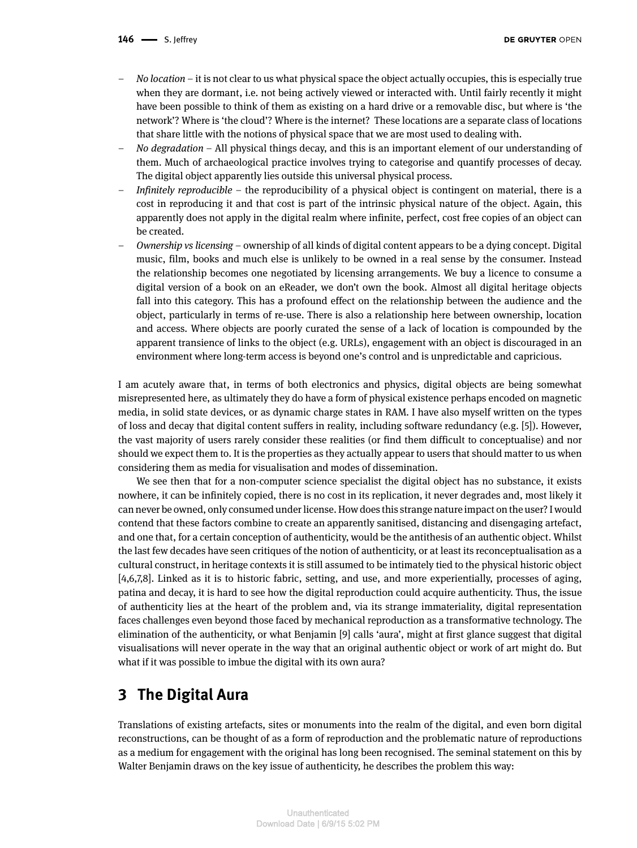- *No location* it is not clear to us what physical space the object actually occupies, this is especially true when they are dormant, i.e. not being actively viewed or interacted with. Until fairly recently it might have been possible to think of them as existing on a hard drive or a removable disc, but where is 'the network'? Where is 'the cloud'? Where is the internet? These locations are a separate class of locations that share little with the notions of physical space that we are most used to dealing with.
- *No degradation* All physical things decay, and this is an important element of our understanding of them. Much of archaeological practice involves trying to categorise and quantify processes of decay. The digital object apparently lies outside this universal physical process.
- *Infinitely reproducible* the reproducibility of a physical object is contingent on material, there is a cost in reproducing it and that cost is part of the intrinsic physical nature of the object. Again, this apparently does not apply in the digital realm where infinite, perfect, cost free copies of an object can be created.
- *Ownership vs licensing* ownership of all kinds of digital content appears to be a dying concept. Digital music, film, books and much else is unlikely to be owned in a real sense by the consumer. Instead the relationship becomes one negotiated by licensing arrangements. We buy a licence to consume a digital version of a book on an eReader, we don't own the book. Almost all digital heritage objects fall into this category. This has a profound effect on the relationship between the audience and the object, particularly in terms of re-use. There is also a relationship here between ownership, location and access. Where objects are poorly curated the sense of a lack of location is compounded by the apparent transience of links to the object (e.g. URLs), engagement with an object is discouraged in an environment where long-term access is beyond one's control and is unpredictable and capricious.

I am acutely aware that, in terms of both electronics and physics, digital objects are being somewhat misrepresented here, as ultimately they do have a form of physical existence perhaps encoded on magnetic media, in solid state devices, or as dynamic charge states in RAM. I have also myself written on the types of loss and decay that digital content suffers in reality, including software redundancy (e.g. [5]). However, the vast majority of users rarely consider these realities (or find them difficult to conceptualise) and nor should we expect them to. It is the properties as they actually appear to users that should matter to us when considering them as media for visualisation and modes of dissemination.

We see then that for a non-computer science specialist the digital object has no substance, it exists nowhere, it can be infinitely copied, there is no cost in its replication, it never degrades and, most likely it can never be owned, only consumed under license. How does this strange nature impact on the user? I would contend that these factors combine to create an apparently sanitised, distancing and disengaging artefact, and one that, for a certain conception of authenticity, would be the antithesis of an authentic object. Whilst the last few decades have seen critiques of the notion of authenticity, or at least its reconceptualisation as a cultural construct, in heritage contexts it is still assumed to be intimately tied to the physical historic object [4,6,7,8]. Linked as it is to historic fabric, setting, and use, and more experientially, processes of aging, patina and decay, it is hard to see how the digital reproduction could acquire authenticity. Thus, the issue of authenticity lies at the heart of the problem and, via its strange immateriality, digital representation faces challenges even beyond those faced by mechanical reproduction as a transformative technology. The elimination of the authenticity, or what Benjamin [9] calls 'aura', might at first glance suggest that digital visualisations will never operate in the way that an original authentic object or work of art might do. But what if it was possible to imbue the digital with its own aura?

# **3 The Digital Aura**

Translations of existing artefacts, sites or monuments into the realm of the digital, and even born digital reconstructions, can be thought of as a form of reproduction and the problematic nature of reproductions as a medium for engagement with the original has long been recognised. The seminal statement on this by Walter Benjamin draws on the key issue of authenticity, he describes the problem this way: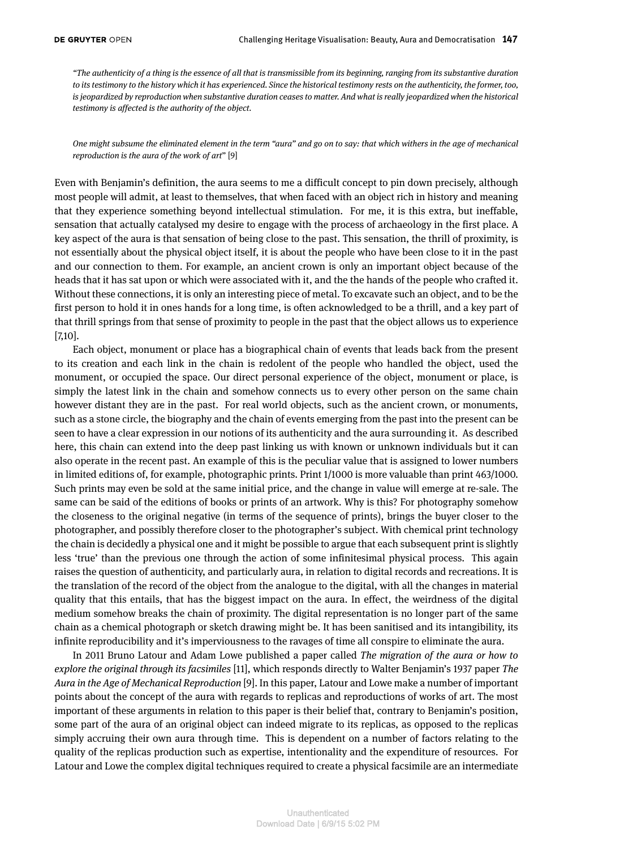*"The authenticity of a thing is the essence of all that is transmissible from its beginning, ranging from its substantive duration to its testimony to the history which it has experienced. Since the historical testimony rests on the authenticity, the former, too, is jeopardized by reproduction when substantive duration ceases to matter. And what is really jeopardized when the historical testimony is affected is the authority of the object.* 

*One might subsume the eliminated element in the term "aura" and go on to say: that which withers in the age of mechanical reproduction is the aura of the work of art*" [9]

Even with Benjamin's definition, the aura seems to me a difficult concept to pin down precisely, although most people will admit, at least to themselves, that when faced with an object rich in history and meaning that they experience something beyond intellectual stimulation. For me, it is this extra, but ineffable, sensation that actually catalysed my desire to engage with the process of archaeology in the first place. A key aspect of the aura is that sensation of being close to the past. This sensation, the thrill of proximity, is not essentially about the physical object itself, it is about the people who have been close to it in the past and our connection to them. For example, an ancient crown is only an important object because of the heads that it has sat upon or which were associated with it, and the the hands of the people who crafted it. Without these connections, it is only an interesting piece of metal. To excavate such an object, and to be the first person to hold it in ones hands for a long time, is often acknowledged to be a thrill, and a key part of that thrill springs from that sense of proximity to people in the past that the object allows us to experience [7,10].

Each object, monument or place has a biographical chain of events that leads back from the present to its creation and each link in the chain is redolent of the people who handled the object, used the monument, or occupied the space. Our direct personal experience of the object, monument or place, is simply the latest link in the chain and somehow connects us to every other person on the same chain however distant they are in the past. For real world objects, such as the ancient crown, or monuments, such as a stone circle, the biography and the chain of events emerging from the past into the present can be seen to have a clear expression in our notions of its authenticity and the aura surrounding it. As described here, this chain can extend into the deep past linking us with known or unknown individuals but it can also operate in the recent past. An example of this is the peculiar value that is assigned to lower numbers in limited editions of, for example, photographic prints. Print 1/1000 is more valuable than print 463/1000. Such prints may even be sold at the same initial price, and the change in value will emerge at re-sale. The same can be said of the editions of books or prints of an artwork. Why is this? For photography somehow the closeness to the original negative (in terms of the sequence of prints), brings the buyer closer to the photographer, and possibly therefore closer to the photographer's subject. With chemical print technology the chain is decidedly a physical one and it might be possible to argue that each subsequent print is slightly less 'true' than the previous one through the action of some infinitesimal physical process. This again raises the question of authenticity, and particularly aura, in relation to digital records and recreations. It is the translation of the record of the object from the analogue to the digital, with all the changes in material quality that this entails, that has the biggest impact on the aura. In effect, the weirdness of the digital medium somehow breaks the chain of proximity. The digital representation is no longer part of the same chain as a chemical photograph or sketch drawing might be. It has been sanitised and its intangibility, its infinite reproducibility and it's imperviousness to the ravages of time all conspire to eliminate the aura.

In 2011 Bruno Latour and Adam Lowe published a paper called *The migration of the aura or how to explore the original through its facsimiles* [11], which responds directly to Walter Benjamin's 1937 paper *The Aura in the Age of Mechanical Reproduction* [9]. In this paper, Latour and Lowe make a number of important points about the concept of the aura with regards to replicas and reproductions of works of art. The most important of these arguments in relation to this paper is their belief that, contrary to Benjamin's position, some part of the aura of an original object can indeed migrate to its replicas, as opposed to the replicas simply accruing their own aura through time. This is dependent on a number of factors relating to the quality of the replicas production such as expertise, intentionality and the expenditure of resources. For Latour and Lowe the complex digital techniques required to create a physical facsimile are an intermediate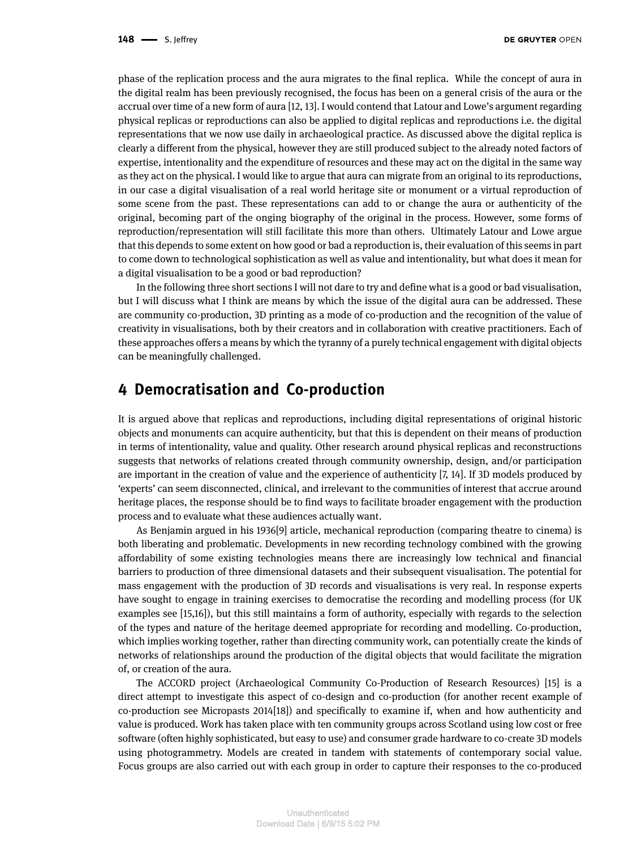phase of the replication process and the aura migrates to the final replica. While the concept of aura in the digital realm has been previously recognised, the focus has been on a general crisis of the aura or the accrual over time of a new form of aura [12, 13]. I would contend that Latour and Lowe's argument regarding physical replicas or reproductions can also be applied to digital replicas and reproductions i.e. the digital representations that we now use daily in archaeological practice. As discussed above the digital replica is clearly a different from the physical, however they are still produced subject to the already noted factors of expertise, intentionality and the expenditure of resources and these may act on the digital in the same way as they act on the physical. I would like to argue that aura can migrate from an original to its reproductions, in our case a digital visualisation of a real world heritage site or monument or a virtual reproduction of some scene from the past. These representations can add to or change the aura or authenticity of the original, becoming part of the onging biography of the original in the process. However, some forms of reproduction/representation will still facilitate this more than others. Ultimately Latour and Lowe argue that this depends to some extent on how good or bad a reproduction is, their evaluation of this seems in part to come down to technological sophistication as well as value and intentionality, but what does it mean for a digital visualisation to be a good or bad reproduction?

In the following three short sections I will not dare to try and define what is a good or bad visualisation, but I will discuss what I think are means by which the issue of the digital aura can be addressed. These are community co-production, 3D printing as a mode of co-production and the recognition of the value of creativity in visualisations, both by their creators and in collaboration with creative practitioners. Each of these approaches offers a means by which the tyranny of a purely technical engagement with digital objects can be meaningfully challenged.

#### **4 Democratisation and Co-production**

It is argued above that replicas and reproductions, including digital representations of original historic objects and monuments can acquire authenticity, but that this is dependent on their means of production in terms of intentionality, value and quality. Other research around physical replicas and reconstructions suggests that networks of relations created through community ownership, design, and/or participation are important in the creation of value and the experience of authenticity [7, 14]. If 3D models produced by 'experts' can seem disconnected, clinical, and irrelevant to the communities of interest that accrue around heritage places, the response should be to find ways to facilitate broader engagement with the production process and to evaluate what these audiences actually want.

As Benjamin argued in his 1936[9] article, mechanical reproduction (comparing theatre to cinema) is both liberating and problematic. Developments in new recording technology combined with the growing affordability of some existing technologies means there are increasingly low technical and financial barriers to production of three dimensional datasets and their subsequent visualisation. The potential for mass engagement with the production of 3D records and visualisations is very real. In response experts have sought to engage in training exercises to democratise the recording and modelling process (for UK examples see [15,16]), but this still maintains a form of authority, especially with regards to the selection of the types and nature of the heritage deemed appropriate for recording and modelling. Co-production, which implies working together, rather than directing community work, can potentially create the kinds of networks of relationships around the production of the digital objects that would facilitate the migration of, or creation of the aura.

The ACCORD project (Archaeological Community Co-Production of Research Resources) [15] is a direct attempt to investigate this aspect of co-design and co-production (for another recent example of co-production see Micropasts 2014[18]) and specifically to examine if, when and how authenticity and value is produced. Work has taken place with ten community groups across Scotland using low cost or free software (often highly sophisticated, but easy to use) and consumer grade hardware to co-create 3D models using photogrammetry. Models are created in tandem with statements of contemporary social value. Focus groups are also carried out with each group in order to capture their responses to the co-produced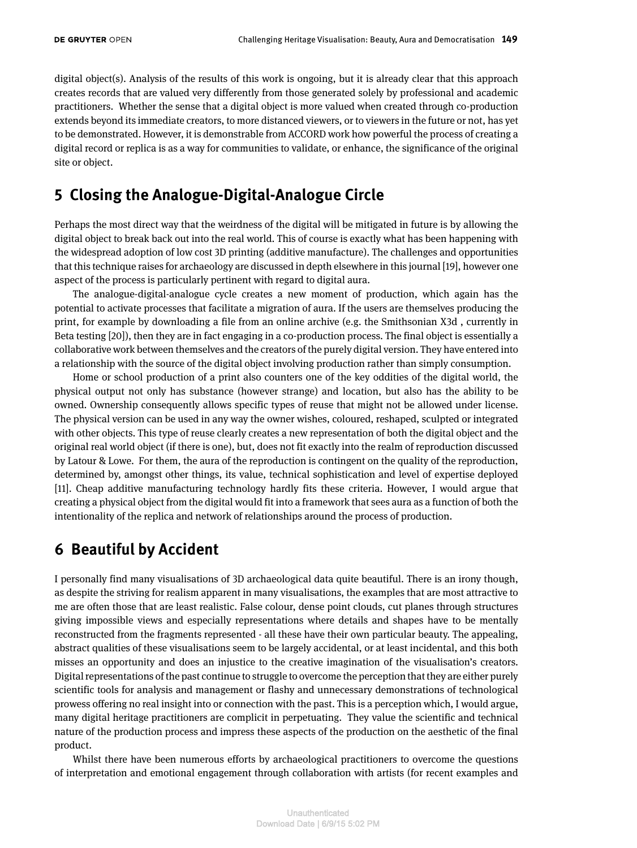digital object(s). Analysis of the results of this work is ongoing, but it is already clear that this approach creates records that are valued very differently from those generated solely by professional and academic practitioners. Whether the sense that a digital object is more valued when created through co-production extends beyond its immediate creators, to more distanced viewers, or to viewers in the future or not, has yet to be demonstrated. However, it is demonstrable from ACCORD work how powerful the process of creating a digital record or replica is as a way for communities to validate, or enhance, the significance of the original site or object.

### **5 Closing the Analogue-Digital-Analogue Circle**

Perhaps the most direct way that the weirdness of the digital will be mitigated in future is by allowing the digital object to break back out into the real world. This of course is exactly what has been happening with the widespread adoption of low cost 3D printing (additive manufacture). The challenges and opportunities that this technique raises for archaeology are discussed in depth elsewhere in this journal [19], however one aspect of the process is particularly pertinent with regard to digital aura.

The analogue-digital-analogue cycle creates a new moment of production, which again has the potential to activate processes that facilitate a migration of aura. If the users are themselves producing the print, for example by downloading a file from an online archive (e.g. the Smithsonian X3d , currently in Beta testing [20]), then they are in fact engaging in a co-production process. The final object is essentially a collaborative work between themselves and the creators of the purely digital version. They have entered into a relationship with the source of the digital object involving production rather than simply consumption.

Home or school production of a print also counters one of the key oddities of the digital world, the physical output not only has substance (however strange) and location, but also has the ability to be owned. Ownership consequently allows specific types of reuse that might not be allowed under license. The physical version can be used in any way the owner wishes, coloured, reshaped, sculpted or integrated with other objects. This type of reuse clearly creates a new representation of both the digital object and the original real world object (if there is one), but, does not fit exactly into the realm of reproduction discussed by Latour & Lowe. For them, the aura of the reproduction is contingent on the quality of the reproduction, determined by, amongst other things, its value, technical sophistication and level of expertise deployed [11]. Cheap additive manufacturing technology hardly fits these criteria. However, I would argue that creating a physical object from the digital would fit into a framework that sees aura as a function of both the intentionality of the replica and network of relationships around the process of production.

# **6 Beautiful by Accident**

I personally find many visualisations of 3D archaeological data quite beautiful. There is an irony though, as despite the striving for realism apparent in many visualisations, the examples that are most attractive to me are often those that are least realistic. False colour, dense point clouds, cut planes through structures giving impossible views and especially representations where details and shapes have to be mentally reconstructed from the fragments represented - all these have their own particular beauty. The appealing, abstract qualities of these visualisations seem to be largely accidental, or at least incidental, and this both misses an opportunity and does an injustice to the creative imagination of the visualisation's creators. Digital representations of the past continue to struggle to overcome the perception that they are either purely scientific tools for analysis and management or flashy and unnecessary demonstrations of technological prowess offering no real insight into or connection with the past. This is a perception which, I would argue, many digital heritage practitioners are complicit in perpetuating. They value the scientific and technical nature of the production process and impress these aspects of the production on the aesthetic of the final product.

Whilst there have been numerous efforts by archaeological practitioners to overcome the questions of interpretation and emotional engagement through collaboration with artists (for recent examples and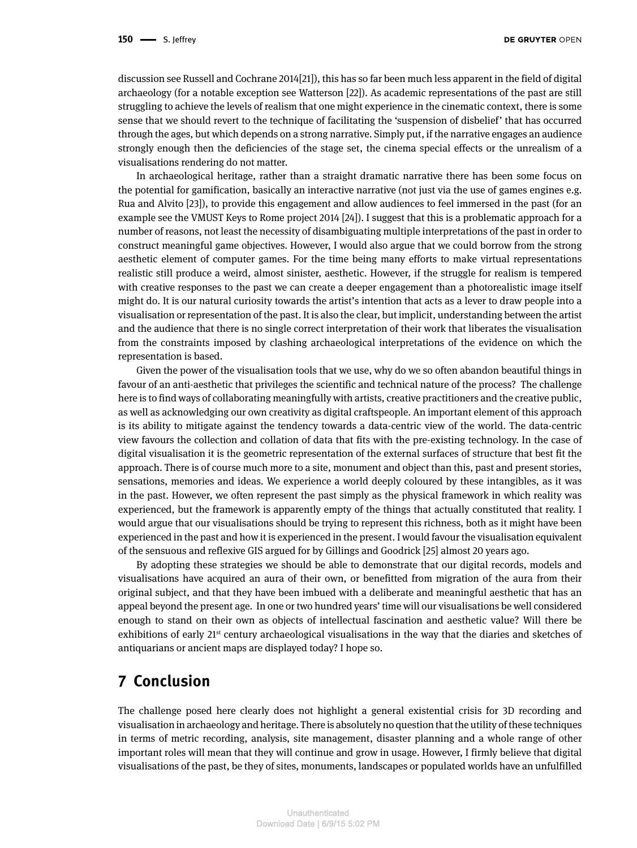discussion see Russell and Cochrane 2014[21]), this has so far been much less apparent in the field of digital archaeology (for a notable exception see Watterson [22]). As academic representations of the past are still struggling to achieve the levels of realism that one might experience in the cinematic context, there is some sense that we should revert to the technique of facilitating the 'suspension of disbelief' that has occurred through the ages, but which depends on a strong narrative. Simply put, if the narrative engages an audience strongly enough then the deficiencies of the stage set, the cinema special effects or the unrealism of a visualisations rendering do not matter.

In archaeological heritage, rather than a straight dramatic narrative there has been some focus on the potential for gamification, basically an interactive narrative (not just via the use of games engines e.g. Rua and Alvito [23]), to provide this engagement and allow audiences to feel immersed in the past (for an example see the VMUST Keys to Rome project 2014 [24]). I suggest that this is a problematic approach for a number of reasons, not least the necessity of disambiguating multiple interpretations of the past in order to construct meaningful game objectives. However, I would also argue that we could borrow from the strong aesthetic element of computer games. For the time being many efforts to make virtual representations realistic still produce a weird, almost sinister, aesthetic. However, if the struggle for realism is tempered with creative responses to the past we can create a deeper engagement than a photorealistic image itself might do. It is our natural curiosity towards the artist's intention that acts as a lever to draw people into a visualisation or representation of the past. It is also the clear, but implicit, understanding between the artist and the audience that there is no single correct interpretation of their work that liberates the visualisation from the constraints imposed by clashing archaeological interpretations of the evidence on which the representation is based.

Given the power of the visualisation tools that we use, why do we so often abandon beautiful things in favour of an anti-aesthetic that privileges the scientific and technical nature of the process? The challenge here is to find ways of collaborating meaningfully with artists, creative practitioners and the creative public, as well as acknowledging our own creativity as digital craftspeople. An important element of this approach is its ability to mitigate against the tendency towards a data-centric view of the world. The data-centric view favours the collection and collation of data that fits with the pre-existing technology. In the case of digital visualisation it is the geometric representation of the external surfaces of structure that best fit the approach. There is of course much more to a site, monument and object than this, past and present stories, sensations, memories and ideas. We experience a world deeply coloured by these intangibles, as it was in the past. However, we often represent the past simply as the physical framework in which reality was experienced, but the framework is apparently empty of the things that actually constituted that reality. I would argue that our visualisations should be trying to represent this richness, both as it might have been experienced in the past and how it is experienced in the present. I would favour the visualisation equivalent of the sensuous and reflexive GIS argued for by Gillings and Goodrick [25] almost 20 years ago.

By adopting these strategies we should be able to demonstrate that our digital records, models and visualisations have acquired an aura of their own, or benefitted from migration of the aura from their original subject, and that they have been imbued with a deliberate and meaningful aesthetic that has an appeal beyond the present age. In one or two hundred years' time will our visualisations be well considered enough to stand on their own as objects of intellectual fascination and aesthetic value? Will there be exhibitions of early 21<sup>st</sup> century archaeological visualisations in the way that the diaries and sketches of antiquarians or ancient maps are displayed today? I hope so.

#### **7 Conclusion**

The challenge posed here clearly does not highlight a general existential crisis for 3D recording and visualisation in archaeology and heritage. There is absolutely no question that the utility of these techniques in terms of metric recording, analysis, site management, disaster planning and a whole range of other important roles will mean that they will continue and grow in usage. However, I firmly believe that digital visualisations of the past, be they of sites, monuments, landscapes or populated worlds have an unfulfilled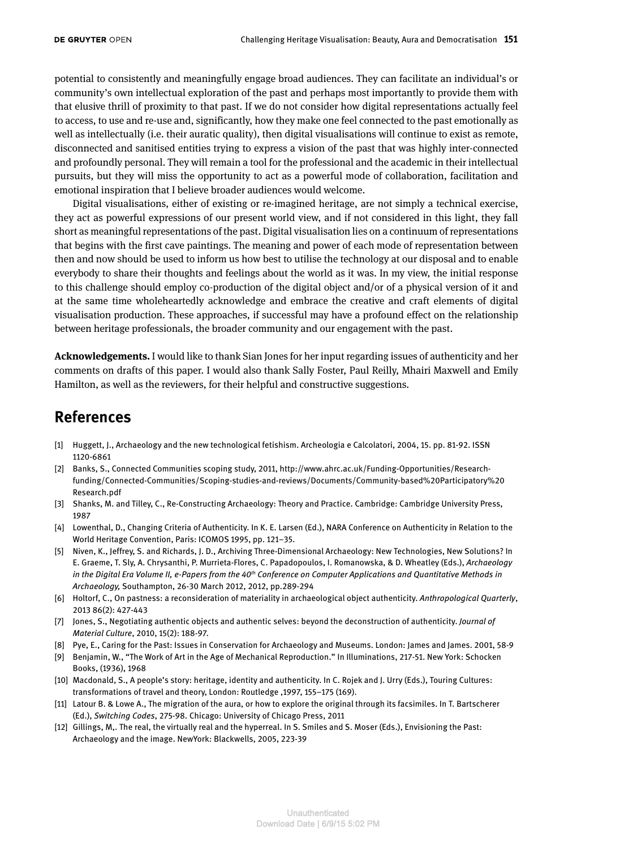potential to consistently and meaningfully engage broad audiences. They can facilitate an individual's or community's own intellectual exploration of the past and perhaps most importantly to provide them with that elusive thrill of proximity to that past. If we do not consider how digital representations actually feel to access, to use and re-use and, significantly, how they make one feel connected to the past emotionally as well as intellectually (i.e. their auratic quality), then digital visualisations will continue to exist as remote, disconnected and sanitised entities trying to express a vision of the past that was highly inter-connected and profoundly personal. They will remain a tool for the professional and the academic in their intellectual pursuits, but they will miss the opportunity to act as a powerful mode of collaboration, facilitation and emotional inspiration that I believe broader audiences would welcome.

Digital visualisations, either of existing or re-imagined heritage, are not simply a technical exercise, they act as powerful expressions of our present world view, and if not considered in this light, they fall short as meaningful representations of the past. Digital visualisation lies on a continuum of representations that begins with the first cave paintings. The meaning and power of each mode of representation between then and now should be used to inform us how best to utilise the technology at our disposal and to enable everybody to share their thoughts and feelings about the world as it was. In my view, the initial response to this challenge should employ co-production of the digital object and/or of a physical version of it and at the same time wholeheartedly acknowledge and embrace the creative and craft elements of digital visualisation production. These approaches, if successful may have a profound effect on the relationship between heritage professionals, the broader community and our engagement with the past.

**Acknowledgements.** I would like to thank Sian Jones for her input regarding issues of authenticity and her comments on drafts of this paper. I would also thank Sally Foster, Paul Reilly, Mhairi Maxwell and Emily Hamilton, as well as the reviewers, for their helpful and constructive suggestions.

#### **References**

- [1] Huggett, J., Archaeology and the new technological fetishism. Archeologia e Calcolatori, 2004, 15. pp. 81-92. ISSN 1120-6861
- [2] Banks, S., Connected Communities scoping study, 2011, http://www.ahrc.ac.uk/Funding-Opportunities/Researchfunding/Connected-Communities/Scoping-studies-and-reviews/Documents/Community-based%20Participatory%20 Research.pdf
- [3] Shanks, M. and Tilley, C., Re-Constructing Archaeology: Theory and Practice. Cambridge: Cambridge University Press, 1987
- [4] Lowenthal, D., Changing Criteria of Authenticity. In K. E. Larsen (Ed.), NARA Conference on Authenticity in Relation to the World Heritage Convention, Paris: ICOMOS 1995, pp. 121–35.
- [5] Niven, K., Jeffrey, S. and Richards, J. D., Archiving Three-Dimensional Archaeology: New Technologies, New Solutions? In E. Graeme, T. Sly, A. Chrysanthi, P. Murrieta-Flores, C. Papadopoulos, I. Romanowska, & D. Wheatley (Eds.), *Archaeology in the Digital Era Volume II, e-Papers from the 40<sup>th</sup> Conference on Computer Applications and Quantitative Methods in Archaeology,* Southampton, 26-30 March 2012, 2012, pp.289-294
- [6] Holtorf, C., On pastness: a reconsideration of materiality in archaeological object authenticity. *Anthropological Quarterly*, 2013 86(2): 427-443
- [7] Jones, S., Negotiating authentic objects and authentic selves: beyond the deconstruction of authenticity. *Journal of Material Culture*, 2010, 15(2): 188-97.
- [8] Pye, E., Caring for the Past: Issues in Conservation for Archaeology and Museums. London: James and James. 2001, 58-9
- [9] Benjamin, W., "The Work of Art in the Age of Mechanical Reproduction." In Illuminations, 217-51. New York: Schocken Books, (1936), 1968
- [10] Macdonald, S., A people's story: heritage, identity and authenticity. In C. Rojek and J. Urry (Eds.), Touring Cultures: transformations of travel and theory, London: Routledge ,1997, 155–175 (169).
- [11] Latour B. & Lowe A., The migration of the aura, or how to explore the original through its facsimiles. In T. Bartscherer (Ed.), *Switching Codes*, 275-98. Chicago: University of Chicago Press, 2011
- [12] Gillings, M,. The real, the virtually real and the hyperreal. In S. Smiles and S. Moser (Eds.), Envisioning the Past: Archaeology and the image. NewYork: Blackwells, 2005, 223-39